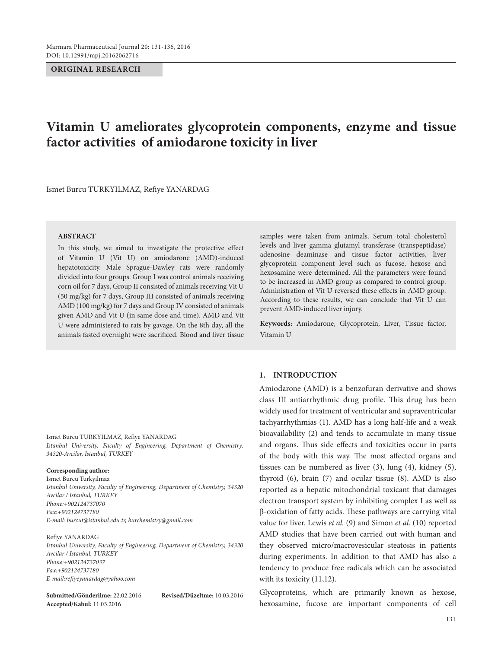#### **ORIGINAL RESEARCH**

# **Vitamin U ameliorates glycoprotein components, enzyme and tissue factor activities of amiodarone toxicity in liver**

Ismet Burcu TURKYILMAZ, Refiye YANARDAG

#### **ABSTRACT**

In this study, we aimed to investigate the protective effect of Vitamin U (Vit U) on amiodarone (AMD)-induced hepatotoxicity. Male Sprague-Dawley rats were randomly divided into four groups. Group I was control animals receiving corn oil for 7 days, Group II consisted of animals receiving Vit U (50 mg/kg) for 7 days, Group III consisted of animals receiving AMD (100 mg/kg) for 7 days and Group IV consisted of animals given AMD and Vit U (in same dose and time). AMD and Vit U were administered to rats by gavage. On the 8th day, all the animals fasted overnight were sacrificed. Blood and liver tissue

Ismet Burcu TURKYILMAZ, Refiye YANARDAG *Istanbul University, Faculty of Engineering, Department of Chemistry, 34320-Avcilar, Istanbul, TURKEY*

#### **Corresponding author:**

Ismet Burcu Turkyilmaz *Istanbul University, Faculty of Engineering, Department of Chemistry, 34320 Avcilar / Istanbul, TURKEY Phone:+902124737070 Fax:+902124737180 E-mail: burcut@istanbul.edu.tr, burchemistry@gmail.com*

Refiye YANARDAG

*Istanbul University, Faculty of Engineering, Department of Chemistry, 34320 Avcilar / Istanbul, TURKEY Phone:+902124737037 Fax:+902124737180 E-mail:refiyeyanardag@yahoo.com*

**Submitted/Gönderilme:** 22.02.2016 **Revised/Düzeltme:** 10.03.2016 **Accepted/Kabul:** 11.03.2016

samples were taken from animals. Serum total cholesterol levels and liver gamma glutamyl transferase (transpeptidase) adenosine deaminase and tissue factor activities, liver glycoprotein component level such as fucose, hexose and hexosamine were determined. All the parameters were found to be increased in AMD group as compared to control group. Administration of Vit U reversed these effects in AMD group. According to these results, we can conclude that Vit U can prevent AMD-induced liver injury.

**Keywords:** Amiodarone, Glycoprotein, Liver, Tissue factor, Vitamin U

### **1. INTRODUCTION**

Amiodarone (AMD) is a benzofuran derivative and shows class III antiarrhythmic drug profile. This drug has been widely used for treatment of ventricular and supraventricular tachyarrhythmias (1). AMD has a long half-life and a weak bioavailability (2) and tends to accumulate in many tissue and organs. Thus side effects and toxicities occur in parts of the body with this way. The most affected organs and tissues can be numbered as liver (3), lung (4), kidney (5), thyroid (6), brain (7) and ocular tissue (8). AMD is also reported as a hepatic mitochondrial toxicant that damages electron transport system by inhibiting complex I as well as b-oxidation of fatty acids. These pathways are carrying vital value for liver. Lewis *et al.* (9) and Simon *et al.* (10) reported AMD studies that have been carried out with human and they observed micro/macrovesicular steatosis in patients during experiments. In addition to that AMD has also a tendency to produce free radicals which can be associated with its toxicity (11,12).

Glycoproteins, which are primarily known as hexose, hexosamine, fucose are important components of cell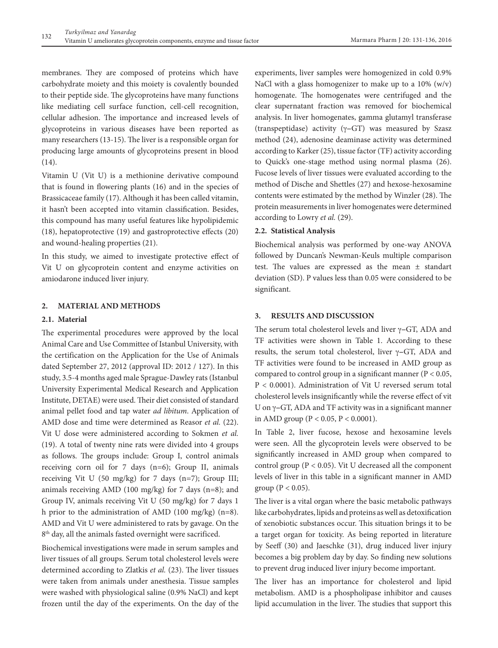membranes. They are composed of proteins which have carbohydrate moiety and this moiety is covalently bounded to their peptide side. The glycoproteins have many functions like mediating cell surface function, cell-cell recognition, cellular adhesion. The importance and increased levels of glycoproteins in various diseases have been reported as many researchers (13-15). The liver is a responsible organ for producing large amounts of glycoproteins present in blood (14).

Vitamin U (Vit U) is a methionine derivative compound that is found in flowering plants (16) and in the species of Brassicaceae family (17). Although it has been called vitamin, it hasn't been accepted into vitamin classification. Besides, this compound has many useful features like hypolipidemic (18), hepatoprotective (19) and gastroprotective effects (20) and wound-healing properties (21).

In this study, we aimed to investigate protective effect of Vit U on glycoprotein content and enzyme activities on amiodarone induced liver injury.

## **2. MATERIAL AND METHODS**

#### **2.1. Material**

The experimental procedures were approved by the local Animal Care and Use Committee of Istanbul University, with the certification on the Application for the Use of Animals dated September 27, 2012 (approval ID: 2012 / 127). In this study, 3.5-4 months aged male Sprague-Dawley rats (Istanbul University Experimental Medical Research and Application Institute, DETAE) were used. Their diet consisted of standard animal pellet food and tap water *ad libitum*. Application of AMD dose and time were determined as Reasor *et al.* (22). Vit U dose were administered according to Sokmen *et al.* (19). A total of twenty nine rats were divided into 4 groups as follows. The groups include: Group I, control animals receiving corn oil for 7 days (n=6); Group II, animals receiving Vit U (50 mg/kg) for 7 days (n=7); Group III; animals receiving AMD (100 mg/kg) for 7 days (n=8); and Group IV, animals receiving Vit U (50 mg/kg) for 7 days 1 h prior to the administration of AMD (100 mg/kg) (n=8). AMD and Vit U were administered to rats by gavage. On the 8<sup>th</sup> day, all the animals fasted overnight were sacrificed.

Biochemical investigations were made in serum samples and liver tissues of all groups. Serum total cholesterol levels were determined according to Zlatkis *et al.* (23). The liver tissues were taken from animals under anesthesia. Tissue samples were washed with physiological saline (0.9% NaCl) and kept frozen until the day of the experiments. On the day of the

experiments, liver samples were homogenized in cold 0.9% NaCl with a glass homogenizer to make up to a 10% (w/v) homogenate. The homogenates were centrifuged and the clear supernatant fraction was removed for biochemical analysis. In liver homogenates, gamma glutamyl transferase (transpeptidase) activity ( $\gamma$ -GT) was measured by Szasz method (24), adenosine deaminase activity was determined according to Karker (25), tissue factor (TF) activity according to Quick's one-stage method using normal plasma (26). Fucose levels of liver tissues were evaluated according to the method of Dische and Shettles (27) and hexose-hexosamine contents were estimated by the method by Winzler (28). The protein measurements in liver homogenates were determined according to Lowry *et al.* (29).

#### **2.2. Statistical Analysis**

Biochemical analysis was performed by one-way ANOVA followed by Duncan's Newman-Keuls multiple comparison test. The values are expressed as the mean ± standart deviation (SD). P values less than 0.05 were considered to be significant.

## **3. RESULTS AND DISCUSSION**

The serum total cholesterol levels and liver  $\gamma$ -GT, ADA and TF activities were shown in Table 1. According to these results, the serum total cholesterol, liver  $\gamma$ -GT, ADA and TF activities were found to be increased in AMD group as compared to control group in a significant manner (P < 0.05, P < 0.0001). Administration of Vit U reversed serum total cholesterol levels insignificantly while the reverse effect of vit U on  $\gamma$ -GT, ADA and TF activity was in a significant manner in AMD group ( $P < 0.05$ ,  $P < 0.0001$ ).

In Table 2, liver fucose, hexose and hexosamine levels were seen. All the glycoprotein levels were observed to be significantly increased in AMD group when compared to control group (P < 0.05). Vit U decreased all the component levels of liver in this table in a significant manner in AMD group ( $P < 0.05$ ).

The liver is a vital organ where the basic metabolic pathways like carbohydrates, lipids and proteins as well as detoxification of xenobiotic substances occur. This situation brings it to be a target organ for toxicity. As being reported in literature by Seeff (30) and Jaeschke (31), drug induced liver injury becomes a big problem day by day. So finding new solutions to prevent drug induced liver injury become important.

The liver has an importance for cholesterol and lipid metabolism. AMD is a phospholipase inhibitor and causes lipid accumulation in the liver. The studies that support this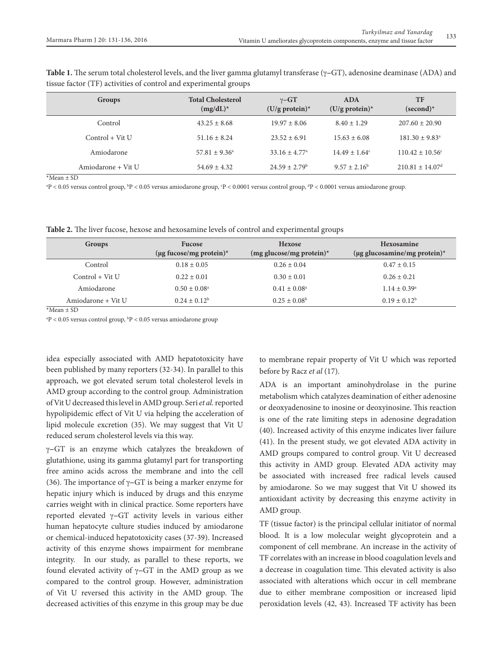| Groups             | <b>Total Cholesterol</b><br>$(mg/dL)^*$ | $\gamma$ -GT<br>$(U/g$ protein)* | <b>ADA</b><br>$(U/g$ protein)* | TF<br>$(second)^*$              |
|--------------------|-----------------------------------------|----------------------------------|--------------------------------|---------------------------------|
| Control            | $43.25 \pm 8.68$                        | $19.97 \pm 8.06$                 | $8.40 \pm 1.29$                | $207.60 \pm 20.90$              |
| $Control + Vit U$  | $51.16 \pm 8.24$                        | $23.52 \pm 6.91$                 | $15.63 \pm 6.08$               | $181.30 \pm 9.83^{\circ}$       |
| Amiodarone         | $57.81 \pm 9.36^{\circ}$                | $33.16 \pm 4.77^{\circ}$         | $14.49 \pm 1.64^c$             | $110.42 \pm 10.56^{\circ}$      |
| Amiodarone + Vit U | $54.69 \pm 4.32$                        | $24.59 \pm 2.79^{\rm b}$         | $9.57 \pm 2.16^b$              | $210.81 \pm 14.07$ <sup>d</sup> |

**Table 1.** The serum total cholesterol levels, and the liver gamma glutamyl transferase  $(\gamma - GT)$ , adenosine deaminase (ADA) and tissue factor (TF) activities of control and experimental groups

 $*$ Mean + SD

 $\rm{^{3}P}< 0.05$  versus control group,  $\rm{^{b}P}< 0.05$  versus amiodarone group,  $\rm{^{c}P< 0.0001}$  versus control group,  $\rm{^{d}P< 0.0001}$  versus amiodarone group.

**Table 2.** The liver fucose, hexose and hexosamine levels of control and experimental groups

| Groups             | <b>Fucose</b>                                  | <b>Hexose</b>              | <b>Hexosamine</b>                 |
|--------------------|------------------------------------------------|----------------------------|-----------------------------------|
|                    | $(\mu g \nfor 10000)$ ( $\mu g \nfor 10000$ )* | $(mg$ glucose/mg protein)* | $(\mu g$ glucosamine/mg protein)* |
| Control            | $0.18 \pm 0.05$                                | $0.26 \pm 0.04$            | $0.47 \pm 0.15$                   |
| $Control + Vit U$  | $0.22 \pm 0.01$                                | $0.30 \pm 0.01$            | $0.26 \pm 0.21$                   |
| Amiodarone         | $0.50 \pm 0.08^{\rm a}$                        | $0.41 \pm 0.08^{\circ}$    | $1.14 \pm 0.39^{\rm a}$           |
| Amiodarone + Vit U | $0.24 \pm 0.12^b$                              | $0.25 \pm 0.08^{\rm b}$    | $0.19 \pm 0.12^b$                 |

 $*$ Mean + SD

 $\rm{^{a}P} < 0.05$  versus control group,  $\rm{^{b}P} < 0.05$  versus amiodarone group

idea especially associated with AMD hepatotoxicity have been published by many reporters (32-34). In parallel to this approach, we got elevated serum total cholesterol levels in AMD group according to the control group. Administration of Vit U decreased this level in AMD group. Seri *et al.* reported hypolipidemic effect of Vit U via helping the acceleration of lipid molecule excretion (35). We may suggest that Vit U reduced serum cholesterol levels via this way.

 $\gamma$ -GT is an enzyme which catalyzes the breakdown of glutathione, using its gamma glutamyl part for transporting free amino acids across the membrane and into the cell (36). The importance of  $\gamma$ -GT is being a marker enzyme for hepatic injury which is induced by drugs and this enzyme carries weight with in clinical practice. Some reporters have reported elevated  $\gamma$ -GT activity levels in various either human hepatocyte culture studies induced by amiodarone or chemical-induced hepatotoxicity cases (37-39). Increased activity of this enzyme shows impairment for membrane integrity. In our study, as parallel to these reports, we found elevated activity of  $\gamma$ -GT in the AMD group as we compared to the control group. However, administration of Vit U reversed this activity in the AMD group. The decreased activities of this enzyme in this group may be due

to membrane repair property of Vit U which was reported before by Racz *et al* (17).

ADA is an important aminohydrolase in the purine metabolism which catalyzes deamination of either adenosine or deoxyadenosine to inosine or deoxyinosine. This reaction is one of the rate limiting steps in adenosine degradation (40). Increased activity of this enzyme indicates liver failure (41). In the present study, we got elevated ADA activity in AMD groups compared to control group. Vit U decreased this activity in AMD group. Elevated ADA activity may be associated with increased free radical levels caused by amiodarone. So we may suggest that Vit U showed its antioxidant activity by decreasing this enzyme activity in AMD group.

TF (tissue factor) is the principal cellular initiator of normal blood. It is a low molecular weight glycoprotein and a component of cell membrane. An increase in the activity of TF correlates with an increase in blood coagulation levels and a decrease in coagulation time. This elevated activity is also associated with alterations which occur in cell membrane due to either membrane composition or increased lipid peroxidation levels (42, 43). Increased TF activity has been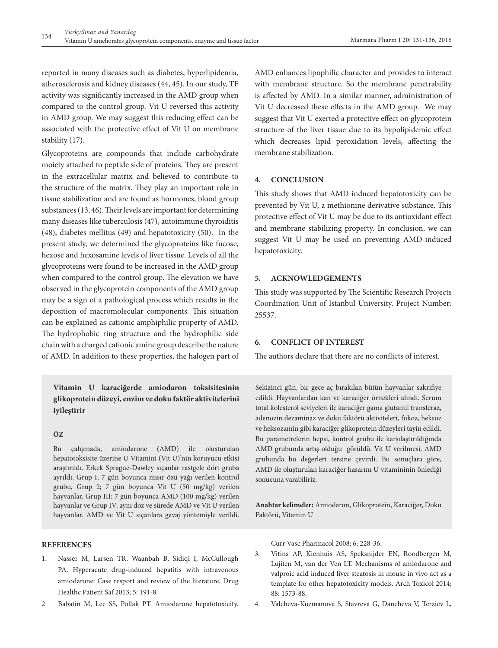reported in many diseases such as diabetes, hyperlipidemia, atherosclerosis and kidney diseases (44, 45). In our study, TF activity was significantly increased in the AMD group when compared to the control group. Vit U reversed this activity in AMD group. We may suggest this reducing effect can be associated with the protective effect of Vit U on membrane stability (17).

Glycoproteins are compounds that include carbohydrate moiety attached to peptide side of proteins. They are present in the extracellular matrix and believed to contribute to the structure of the matrix. They play an important role in tissue stabilization and are found as hormones, blood group substances (13, 46). Their levels are important for determining many diseases like tuberculosis (47), autoimmune thyroiditis (48), diabetes mellitus (49) and hepatotoxicity (50). In the present study, we determined the glycoproteins like fucose, hexose and hexosamine levels of liver tissue. Levels of all the glycoproteins were found to be increased in the AMD group when compared to the control group. The elevation we have observed in the glycoprotein components of the AMD group may be a sign of a pathological process which results in the deposition of macromolecular components. This situation can be explained as cationic amphiphilic property of AMD. The hydrophobic ring structure and the hydrophilic side chain with a charged cationic amine group describe the nature of AMD. In addition to these properties, the halogen part of

## **Vitamin U karaciğerde amiodaron toksisitesinin glikoprotein düzeyi, enzim ve doku faktör aktivitelerini iyileştirir**

### **ÖZ**

Bu çalışmada, amiodarone (AMD) ile oluşturulan hepatotoksisite üzerine U Vitamini (Vit U)'nin koruyucu etkisi araştırıldı. Erkek Sprague-Dawley sıçanlar rastgele dört gruba ayrıldı. Grup I; 7 gün boyunca mısır özü yağı verilen kontrol grubu, Grup 2; 7 gün boyunca Vit U (50 mg/kg) verilen hayvanlar, Grup III; 7 gün boyunca AMD (100 mg/kg) verilen hayvanlar ve Grup IV; aynı doz ve sürede AMD ve Vit U verilen hayvanlar. AMD ve Vit U sıçanlara gavaj yöntemiyle verildi.

**REFERENCES**

- 1. Nasser M, Larsen TR, Waanbah B, Sidiqi I, McCullough PA. Hyperacute drug-induced hepatitis with intravenous amiodarone: Case resport and review of the literature. Drug Healthc Patient Saf 2013; 5: 191-8.
- 2. Babatin M, Lee SS, Pollak PT. Amiodarone hepatotoxicity.

AMD enhances lipophilic character and provides to interact with membrane structure. So the membrane penetrability is affected by AMD. In a similar manner, administration of Vit U decreased these effects in the AMD group. We may suggest that Vit U exerted a protective effect on glycoprotein structure of the liver tissue due to its hypolipidemic effect which decreases lipid peroxidation levels, affecting the membrane stabilization.

## **4. CONCLUSION**

This study shows that AMD induced hepatotoxicity can be prevented by Vit U, a methionine derivative substance. This protective effect of Vit U may be due to its antioxidant effect and membrane stabilizing property. In conclusion, we can suggest Vit U may be used on preventing AMD-induced hepatotoxicity.

#### **5. ACKNOWLEDGEMENTS**

This study was supported by The Scientific Research Projects Coordination Unit of Istanbul University. Project Number: 25537.

## **6. CONFLICT OF INTEREST**

The authors declare that there are no conflicts of interest.

Sekizinci gün, bir gece aç bırakılan bütün hayvanlar sakrifiye edildi. Hayvanlardan kan ve karaciğer örnekleri alındı. Serum total kolesterol seviyeleri ile karaciğer gama glutamil transferaz, adenozin dezaminaz ve doku faktörü aktiviteleri, fukoz, heksoz ve heksozamin gibi karaciğer glikoprotein düzeyleri tayin edildi. Bu parametrelerin hepsi, kontrol grubu ile karşılaştırıldığında AMD grubunda artış olduğu görüldü. Vit U verilmesi, AMD grubunda bu değerleri tersine çevirdi. Bu sonuçlara göre, AMD ile oluşturulan karaciğer hasarını U vitamininin önlediği sonucuna varabiliriz.

**Anahtar kelimeler:** Amiodaron, Glikoprotein, Karaciğer, Doku Faktörü, Vitamin U

Curr Vasc Pharmacol 2008; 6: 228-36.

- 3. Vitins AP, Kienhuis AS, Speksnijder EN, Roodbergen M, Lujiten M, van der Ven LT. Mechanisms of amiodarone and valproic acid induced liver steatosis in mouse in vivo act as a template for other hepatotoxicity models. Arch Toxicol 2014; 88: 1573-88.
- 4. Valcheva-Kuzmanova S, Stavreva G, Dancheva V, Terziev L,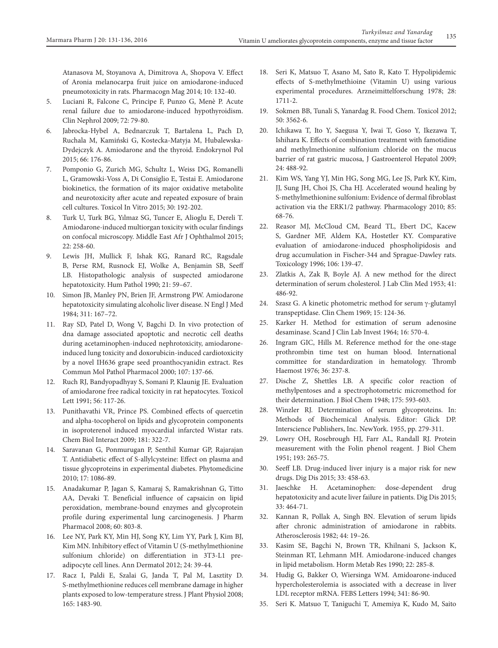- 5. Luciani R, Falcone C, Principe F, Punzo G, Menè P. Acute renal failure due to amiodarone-induced hypothyroidism. Clin Nephrol 2009; 72: 79-80.
- 6. Jabrocka-Hybel A, Bednarczuk T, Bartalena L, Pach D, Ruchala M, Kamiński G, Kostecka-Matyja M, Hubalewska-Dydejczyk A. Amiodarone and the thyroid. Endokrynol Pol 2015; 66: 176-86.
- 7. Pomponio G, Zurich MG, Schultz L, Weiss DG, Romanelli L, Gramowski-Voss A, Di Consiglio E, Testai E. Amiodarone biokinetics, the formation of its major oxidative metabolite and neurotoxicity after acute and repeated exposure of brain cell cultures. Toxicol In Vitro 2015; 30: 192-202.
- 8. Turk U, Turk BG, Yılmaz SG, Tuncer E, Alioglu E, Dereli T. Amiodarone-induced multiorgan toxicity with ocular findings on confocal microscopy. Middle East Afr J Ophthalmol 2015; 22: 258-60.
- 9. Lewis JH, Mullick F, Ishak KG, Ranard RC, Ragsdale B, Perse RM, Rusnock EJ, Wolke A, Benjamin SB, Seeff LB. Histopathologic analysis of suspected amiodarone hepatotoxicity. Hum Pathol 1990; 21: 59–67.
- 10. Simon JB, Manley PN, Brien JF, Armstrong PW. Amiodarone hepatotoxicity simulating alcoholic liver disease. N Engl J Med 1984; 311: 167–72.
- 11. Ray SD, Patel D, Wong V, Bagchi D. In vivo protection of dna damage associated apoptotic and necrotic cell deaths during acetaminophen-induced nephrotoxicity, amiodaroneinduced lung toxicity and doxorubicin-induced cardiotoxicity by a novel IH636 grape seed proanthocyanidin extract. Res Commun Mol Pathol Pharmacol 2000; 107: 137-66.
- 12. Ruch RJ, Bandyopadhyay S, Somani P, Klaunig JE. Evaluation of amiodarone free radical toxicity in rat hepatocytes. Toxicol Lett 1991; 56: 117-26.
- 13. Punithavathi VR, Prince PS. Combined effects of quercetin and alpha-tocopherol on lipids and glycoprotein components in isoproterenol induced myocardial infarcted Wistar rats. Chem Biol Interact 2009; 181: 322-7.
- 14. Saravanan G, Ponmurugan P, Senthil Kumar GP, Rajarajan T. Antidiabetic effect of S-allylcysteine: Effect on plasma and tissue glycoproteins in experimental diabetes. Phytomedicine 2010; 17: 1086-89.
- 15. Anadakumar P, Jagan S, Kamaraj S, Ramakrishnan G, Titto AA, Devaki T. Beneficial influence of capsaicin on lipid peroxidation, membrane-bound enzymes and glycoprotein profile during experimental lung carcinogenesis. J Pharm Pharmacol 2008; 60: 803-8.
- 16. Lee NY, Park KY, Min HJ, Song KY, Lim YY, Park J, Kim BJ, Kim MN. Inhibitory effect of Vitamin U (S-methylmethionine sulfonium chloride) on differentiation in 3T3-L1 preadipocyte cell lines. Ann Dermatol 2012; 24: 39-44.
- 17. Racz I, Paldi E, Szalai G, Janda T, Pal M, Lasztity D. S-methylmethionine reduces cell membrane damage in higher plants exposed to low-temperature stress. J Plant Physiol 2008; 165: 1483-90.
- 18. Seri K, Matsuo T, Asano M, Sato R, Kato T. Hypolipidemic effects of S-methylmethioine (Vitamin U) using various experimental procedures. Arzneimittelforschung 1978; 28: 1711-2.
- 19. Sokmen BB, Tunali S, Yanardag R. Food Chem. Toxicol 2012; 50: 3562-6.
- 20. Ichikawa T, Ito Y, Saegusa Y, Iwai T, Goso Y, Ikezawa T, Ishihara K. Effects of combination treatment with famotidine and methylmethionine sulfonium chloride on the mucus barrier of rat gastric mucosa, J Gastroenterol Hepatol 2009; 24: 488-92.
- 21. Kim WS, Yang YJ, Min HG, Song MG, Lee JS, Park KY, Kim, JJ, Sung JH, Choi JS, Cha HJ. Accelerated wound healing by S-methylmethionine sulfonium: Evidence of dermal fibroblast activation via the ERK1/2 pathway. Pharmacology 2010; 85: 68-76.
- 22. Reasor MJ, McCloud CM, Beard TL, Ebert DC, Kacew S, Gardner MF, Aldem KA, Hostetler KY. Comparative evaluation of amiodarone-induced phospholipidosis and drug accumulation in Fischer-344 and Sprague-Dawley rats. Toxicology 1996; 106: 139-47.
- 23. Zlatkis A, Zak B, Boyle AJ. A new method for the direct determination of serum cholesterol. J Lab Clin Med 1953; 41: 486-92.
- 24. Szasz G. A kinetic photometric method for serum  $\gamma$ -glutamyl transpeptidase. Clin Chem 1969; 15: 124-36.
- 25. Karker H. Method for estimation of serum adenosine desaminase. Scand J Clin Lab Invest 1964; 16: 570-4.
- 26. Ingram GIC, Hills M. Reference method for the one-stage prothrombin time test on human blood. International committee for standardization in hematology. Thromb Haemost 1976; 36: 237-8.
- 27. Dische Z, Shettles LB. A specific color reaction of methylpentoses and a spectrophotometric micromethod for their determination. J Biol Chem 1948; 175: 593-603.
- 28. Winzler RJ. Determination of serum glycoproteins. In: Methods of Biochemical Analysis. Editor: Glick DP. Interscience Publishers, Inc. NewYork. 1955, pp. 279-311.
- 29. Lowry OH, Rosebrough HJ, Farr AL, Randall RJ. Protein measurement with the Folin phenol reagent. J Biol Chem 1951; 193: 265-75.
- 30. Seeff LB. Drug-induced liver injury is a major risk for new drugs. Dig Dis 2015; 33: 458-63.
- 31. Jaeschke H. Acetaminophen: dose-dependent drug hepatotoxicity and acute liver failure in patients. Dig Dis 2015; 33: 464-71.
- 32. Kannan R, Pollak A, Singh BN. Elevation of serum lipids after chronic administration of amiodarone in rabbits. Atherosclerosis 1982; 44: 19–26.
- 33. Kasim SE, Bagchi N, Brown TR, Khilnani S, Jackson K, Steinman RT, Lehmann MH. Amiodarone-induced changes in lipid metabolism. Horm Metab Res 1990; 22: 285-8.
- 34. Hudig G, Bakker O, Wiersinga WM. Amidoarone-induced hypercholesterolemia is associated with a decrease in liver LDL receptor mRNA. FEBS Letters 1994; 341: 86-90.
- 35. Seri K. Matsuo T, Taniguchi T, Amemiya K, Kudo M, Saito